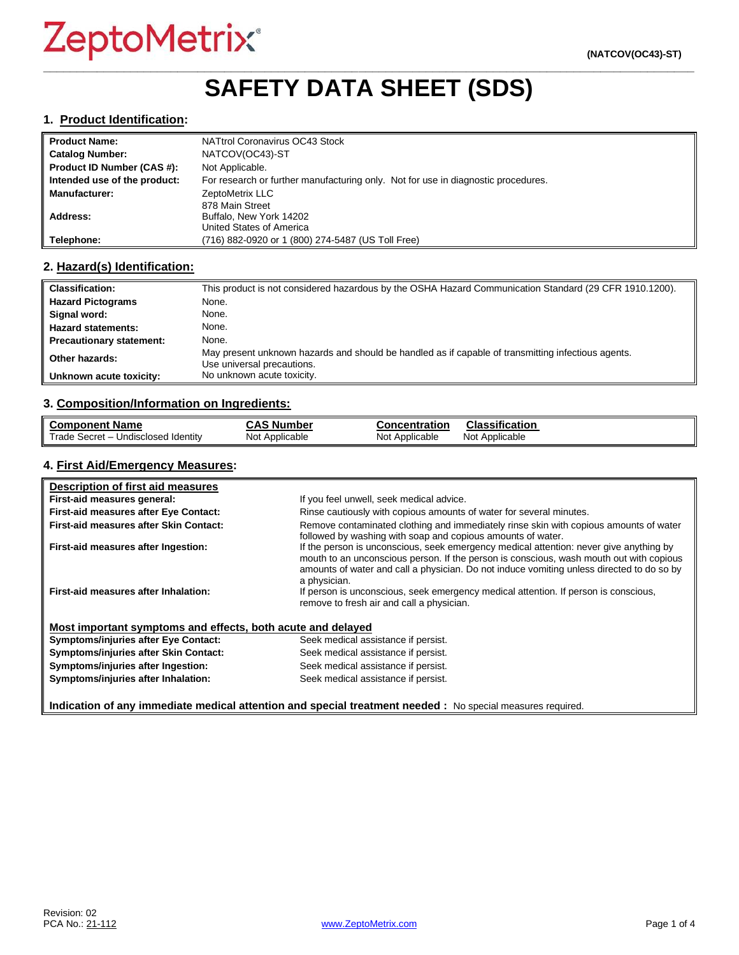## **\_\_\_\_\_\_\_\_\_\_\_\_\_\_\_\_\_\_\_\_\_\_\_\_\_\_\_\_\_\_\_\_\_\_\_\_\_\_\_\_\_\_\_\_\_\_\_\_\_\_\_\_\_\_\_\_\_\_\_\_\_\_\_\_\_\_\_\_\_\_\_\_\_\_\_\_\_\_\_\_\_\_\_\_\_\_\_\_\_\_\_\_\_\_\_\_\_ SAFETY DATA SHEET (SDS)**

#### **1. Product Identification:**

| <b>Product Name:</b>         | NATtrol Coronavirus OC43 Stock                                                    |
|------------------------------|-----------------------------------------------------------------------------------|
| <b>Catalog Number:</b>       | NATCOV(OC43)-ST                                                                   |
| Product ID Number (CAS #):   | Not Applicable.                                                                   |
| Intended use of the product: | For research or further manufacturing only. Not for use in diagnostic procedures. |
| <b>Manufacturer:</b>         | ZeptoMetrix LLC                                                                   |
|                              | 878 Main Street                                                                   |
| Address:                     | Buffalo, New York 14202                                                           |
|                              | United States of America                                                          |
| Telephone:                   | (716) 882-0920 or 1 (800) 274-5487 (US Toll Free)                                 |

#### **2. Hazard(s) Identification:**

| <b>Classification:</b>          | This product is not considered hazardous by the OSHA Hazard Communication Standard (29 CFR 1910.1200).                           |
|---------------------------------|----------------------------------------------------------------------------------------------------------------------------------|
| <b>Hazard Pictograms</b>        | None.                                                                                                                            |
| Signal word:                    | None.                                                                                                                            |
| <b>Hazard statements:</b>       | None.                                                                                                                            |
| <b>Precautionary statement:</b> | None.                                                                                                                            |
| Other hazards:                  | May present unknown hazards and should be handled as if capable of transmitting infectious agents.<br>Use universal precautions. |
| Unknown acute toxicity:         | No unknown acute toxicity.                                                                                                       |

#### **3. Composition/Information on Ingredients:**

| <b>Component Name</b>                    | <b>CAS Number</b> | <b>Concentration</b> | <b>Classification</b> |
|------------------------------------------|-------------------|----------------------|-----------------------|
| Trade Secret - u<br>Undisclosed Identity | Not Applicable    | Not Applicable       | Not Applicable        |

#### **4. First Aid/Emergency Measures:**

| Description of first aid measures                           |                                                                                                                                                                                                                                                                                                |
|-------------------------------------------------------------|------------------------------------------------------------------------------------------------------------------------------------------------------------------------------------------------------------------------------------------------------------------------------------------------|
| First-aid measures general:                                 | If you feel unwell, seek medical advice.                                                                                                                                                                                                                                                       |
| First-aid measures after Eye Contact:                       | Rinse cautiously with copious amounts of water for several minutes.                                                                                                                                                                                                                            |
| First-aid measures after Skin Contact:                      | Remove contaminated clothing and immediately rinse skin with copious amounts of water<br>followed by washing with soap and copious amounts of water.                                                                                                                                           |
| First-aid measures after Ingestion:                         | If the person is unconscious, seek emergency medical attention: never give anything by<br>mouth to an unconscious person. If the person is conscious, wash mouth out with copious<br>amounts of water and call a physician. Do not induce vomiting unless directed to do so by<br>a physician. |
| First-aid measures after Inhalation:                        | If person is unconscious, seek emergency medical attention. If person is conscious,<br>remove to fresh air and call a physician.                                                                                                                                                               |
| Most important symptoms and effects, both acute and delayed |                                                                                                                                                                                                                                                                                                |
| <b>Symptoms/injuries after Eye Contact:</b>                 | Seek medical assistance if persist.                                                                                                                                                                                                                                                            |
| Symptoms/injuries after Skin Contact:                       | Seek medical assistance if persist.                                                                                                                                                                                                                                                            |
| Symptoms/injuries after Ingestion:                          | Seek medical assistance if persist.                                                                                                                                                                                                                                                            |
| Symptoms/injuries after Inhalation:                         | Seek medical assistance if persist.                                                                                                                                                                                                                                                            |

**Indication of any immediate medical attention and special treatment needed :** No special measures required.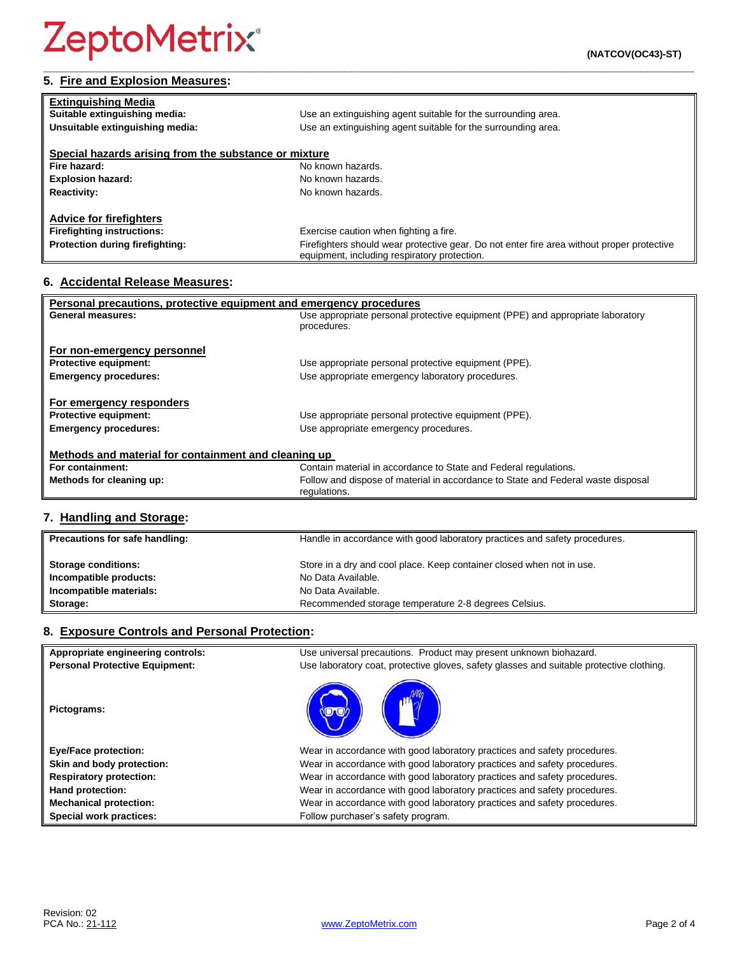| <b>Extinguishing Media</b>                            |                                                                                                                                            |
|-------------------------------------------------------|--------------------------------------------------------------------------------------------------------------------------------------------|
| Suitable extinguishing media:                         | Use an extinguishing agent suitable for the surrounding area.                                                                              |
| Unsuitable extinguishing media:                       | Use an extinguishing agent suitable for the surrounding area.                                                                              |
|                                                       |                                                                                                                                            |
| Special hazards arising from the substance or mixture |                                                                                                                                            |
| Fire hazard:                                          | No known hazards.                                                                                                                          |
| <b>Explosion hazard:</b>                              | No known hazards.                                                                                                                          |
| <b>Reactivity:</b>                                    | No known hazards.                                                                                                                          |
| <b>Advice for firefighters</b>                        |                                                                                                                                            |
|                                                       |                                                                                                                                            |
| <b>Firefighting instructions:</b>                     | Exercise caution when fighting a fire.                                                                                                     |
| Protection during firefighting:                       | Firefighters should wear protective gear. Do not enter fire area without proper protective<br>equipment, including respiratory protection. |

### **6. Accidental Release Measures:**

| Personal precautions, protective equipment and emergency procedures                      |                                                                                               |  |
|------------------------------------------------------------------------------------------|-----------------------------------------------------------------------------------------------|--|
| General measures:                                                                        | Use appropriate personal protective equipment (PPE) and appropriate laboratory<br>procedures. |  |
| For non-emergency personnel                                                              |                                                                                               |  |
| <b>Protective equipment:</b>                                                             | Use appropriate personal protective equipment (PPE).                                          |  |
| <b>Emergency procedures:</b>                                                             | Use appropriate emergency laboratory procedures.                                              |  |
| For emergency responders<br><b>Protective equipment:</b><br><b>Emergency procedures:</b> | Use appropriate personal protective equipment (PPE).<br>Use appropriate emergency procedures. |  |
| Methods and material for containment and cleaning up                                     |                                                                                               |  |
| For containment:                                                                         | Contain material in accordance to State and Federal regulations.                              |  |
| Methods for cleaning up:                                                                 | Follow and dispose of material in accordance to State and Federal waste disposal              |  |
|                                                                                          | regulations.                                                                                  |  |

## **7. Handling and Storage:**

| Precautions for safe handling: | Handle in accordance with good laboratory practices and safety procedures. |
|--------------------------------|----------------------------------------------------------------------------|
| <b>Storage conditions:</b>     | Store in a dry and cool place. Keep container closed when not in use.      |
| Incompatible products:         | No Data Available.                                                         |
| Incompatible materials:        | No Data Available.                                                         |
| Storage:                       | Recommended storage temperature 2-8 degrees Celsius.                       |

#### **8. Exposure Controls and Personal Protection:**

| Appropriate engineering controls:     | Use universal precautions. Product may present unknown biohazard.                        |
|---------------------------------------|------------------------------------------------------------------------------------------|
| <b>Personal Protective Equipment:</b> | Use laboratory coat, protective gloves, safety glasses and suitable protective clothing. |
| Pictograms:                           |                                                                                          |
| <b>Eye/Face protection:</b>           | Wear in accordance with good laboratory practices and safety procedures.                 |
| Skin and body protection:             | Wear in accordance with good laboratory practices and safety procedures.                 |
| <b>Respiratory protection:</b>        | Wear in accordance with good laboratory practices and safety procedures.                 |
| Hand protection:                      | Wear in accordance with good laboratory practices and safety procedures.                 |
| <b>Mechanical protection:</b>         | Wear in accordance with good laboratory practices and safety procedures.                 |
| Special work practices:               | Follow purchaser's safety program.                                                       |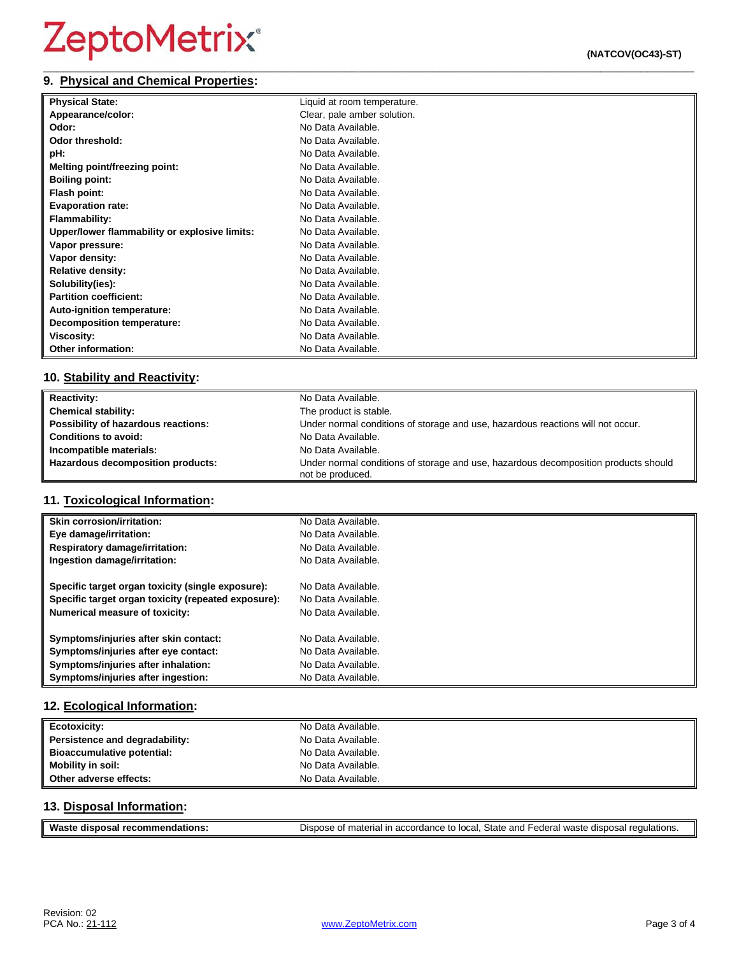#### **\_\_\_\_\_\_\_\_\_\_\_\_\_\_\_\_\_\_\_\_\_\_\_\_\_\_\_\_\_\_\_\_\_\_\_\_\_\_\_\_\_\_\_\_\_\_\_\_\_\_\_\_\_\_\_\_\_\_\_\_\_\_\_\_\_\_\_\_\_\_\_\_\_\_\_\_\_\_\_\_\_\_\_\_\_\_\_\_\_\_\_\_\_\_\_\_\_ 9. Physical and Chemical Properties:**

| <b>Physical State:</b>                        | Liquid at room temperature. |
|-----------------------------------------------|-----------------------------|
| Appearance/color:                             | Clear, pale amber solution. |
| Odor:                                         | No Data Available.          |
| Odor threshold:                               | No Data Available.          |
| pH:                                           | No Data Available.          |
| <b>Melting point/freezing point:</b>          | No Data Available.          |
| <b>Boiling point:</b>                         | No Data Available.          |
| Flash point:                                  | No Data Available.          |
| <b>Evaporation rate:</b>                      | No Data Available.          |
| <b>Flammability:</b>                          | No Data Available.          |
| Upper/lower flammability or explosive limits: | No Data Available.          |
| Vapor pressure:                               | No Data Available.          |
| Vapor density:                                | No Data Available.          |
| <b>Relative density:</b>                      | No Data Available.          |
| Solubility(ies):                              | No Data Available.          |
| <b>Partition coefficient:</b>                 | No Data Available.          |
| Auto-ignition temperature:                    | No Data Available.          |
| Decomposition temperature:                    | No Data Available.          |
| <b>Viscosity:</b>                             | No Data Available.          |
| <b>Other information:</b>                     | No Data Available.          |

#### **10. Stability and Reactivity:**

| <b>Reactivity:</b>                  | No Data Available.                                                                                      |
|-------------------------------------|---------------------------------------------------------------------------------------------------------|
| <b>Chemical stability:</b>          | The product is stable.                                                                                  |
| Possibility of hazardous reactions: | Under normal conditions of storage and use, hazardous reactions will not occur.                         |
| <b>Conditions to avoid:</b>         | No Data Available.                                                                                      |
| Incompatible materials:             | No Data Available.                                                                                      |
| Hazardous decomposition products:   | Under normal conditions of storage and use, hazardous decomposition products should<br>not be produced. |

### **11. Toxicological Information:**

| <b>Skin corrosion/irritation:</b>                   | No Data Available. |
|-----------------------------------------------------|--------------------|
| Eye damage/irritation:                              | No Data Available. |
| <b>Respiratory damage/irritation:</b>               | No Data Available. |
| Ingestion damage/irritation:                        | No Data Available. |
| Specific target organ toxicity (single exposure):   | No Data Available. |
| Specific target organ toxicity (repeated exposure): | No Data Available. |
| <b>Numerical measure of toxicity:</b>               | No Data Available. |
| Symptoms/injuries after skin contact:               | No Data Available. |
| Symptoms/injuries after eye contact:                | No Data Available. |
| Symptoms/injuries after inhalation:                 | No Data Available. |
| Symptoms/injuries after ingestion:                  | No Data Available. |

### **12. Ecological Information:**

| <b>Ecotoxicity:</b>            | No Data Available. |
|--------------------------------|--------------------|
| Persistence and degradability: | No Data Available. |
| Bioaccumulative potential:     | No Data Available. |
| <b>Mobility in soil:</b>       | No Data Available. |
| Other adverse effects:         | No Data Available. |

#### **13. Disposal Information:**

| Waste disposal recommendations: | Dispose of material in accordance to local, State and Federal waste disposal regulations. |
|---------------------------------|-------------------------------------------------------------------------------------------|